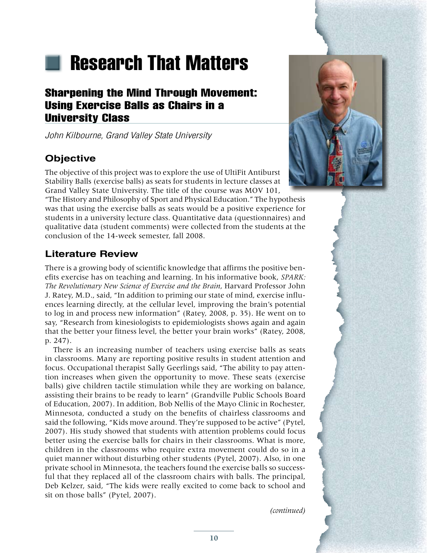# Research That Matters

# Sharpening the Mind Through Movement: Using Exercise Balls as Chairs in a University Class

*John Kilbourne, Grand Valley State University*

# **Objective**

The objective of this project was to explore the use of UltiFit Antiburst Stability Balls (exercise balls) as seats for students in lecture classes at Grand Valley State University. The title of the course was MOV 101,

"The History and Philosophy of Sport and Physical Education." The hypothesis was that using the exercise balls as seats would be a positive experience for students in a university lecture class. Quantitative data (questionnaires) and qualitative data (student comments) were collected from the students at the conclusion of the 14-week semester, fall 2008.

# **Literature Review**

There is a growing body of scientific knowledge that affirms the positive benefits exercise has on teaching and learning. In his informative book, *SPARK: The Revolutionary New Science of Exercise and the Brain*, Harvard Professor John J. Ratey, M.D., said, "In addition to priming our state of mind, exercise influences learning directly, at the cellular level, improving the brain's potential to log in and process new information" (Ratey, 2008, p. 35). He went on to say, "Research from kinesiologists to epidemiologists shows again and again that the better your fitness level, the better your brain works" (Ratey, 2008, p. 247).

There is an increasing number of teachers using exercise balls as seats in classrooms. Many are reporting positive results in student attention and focus. Occupational therapist Sally Geerlings said, "The ability to pay attention increases when given the opportunity to move. These seats (exercise balls) give children tactile stimulation while they are working on balance, assisting their brains to be ready to learn" (Grandville Public Schools Board of Education, 2007). In addition, Bob Nellis of the Mayo Clinic in Rochester, Minnesota, conducted a study on the benefits of chairless classrooms and said the following, "Kids move around. They're supposed to be active" (Pytel, 2007). His study showed that students with attention problems could focus better using the exercise balls for chairs in their classrooms. What is more, children in the classrooms who require extra movement could do so in a quiet manner without disturbing other students (Pytel, 2007). Also, in one private school in Minnesota, the teachers found the exercise balls so successful that they replaced all of the classroom chairs with balls. The principal, Deb Kelzer, said, "The kids were really excited to come back to school and sit on those balls" (Pytel, 2007).

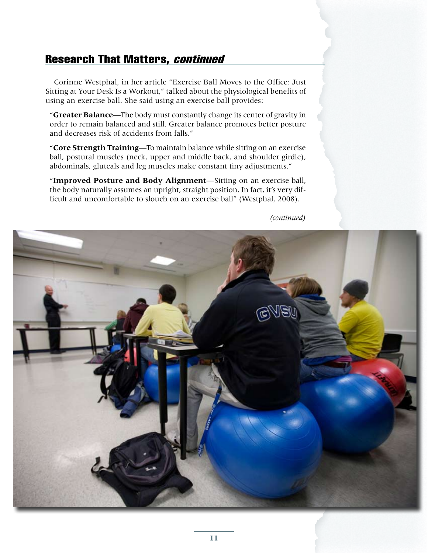Corinne Westphal, in her article "Exercise Ball Moves to the Office: Just Sitting at Your Desk Is a Workout," talked about the physiological benefits of using an exercise ball. She said using an exercise ball provides:

"**Greater Balance**—The body must constantly change its center of gravity in order to remain balanced and still. Greater balance promotes better posture and decreases risk of accidents from falls."

"**Core Strength Training**—To maintain balance while sitting on an exercise ball, postural muscles (neck, upper and middle back, and shoulder girdle), abdominals, gluteals and leg muscles make constant tiny adjustments."

"**Improved Posture and Body Alignment**—Sitting on an exercise ball, the body naturally assumes an upright, straight position. In fact, it's very difficult and uncomfortable to slouch on an exercise ball" (Westphal, 2008).

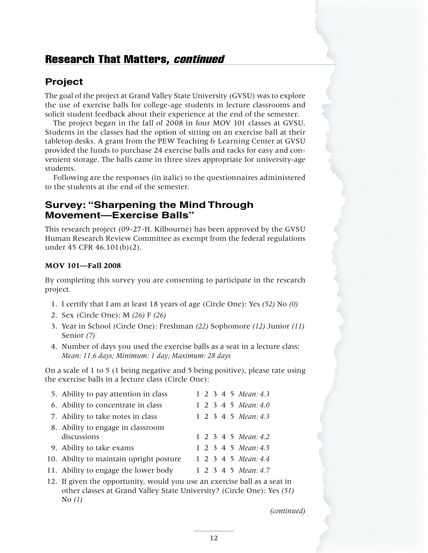### **Project**

The goal of the project at Grand Valley State University (GVSU) was to explore the use of exercise balls for college-age students in lecture classrooms and solicit student feedback about their experience at the end of the semester.

The project began in the fall of 2008 in four MOV 101 classes at GVSU. Students in the classes had the option of sitting on an exercise ball at their tabletop desks. A grant from the PEW Teaching  $\epsilon$  Learning Center at GVSU provided the funds to purchase 24 exercise balls and racks for easy and convenient storage. The balls came in three sizes appropriate for university-age students.

Following are the responses (in italic) to the questionnaires administered to the students at the end of the semester.

### **Survey: "Sharpening the Mind Through Movement—Exercise Balls"**

This research project (09-27-H. Kilbourne) has been approved by the GVSU Human Research Review Committee as exempt from the federal regulations under 45 CFR 46.101(b)(2).

#### **MOV 101—Fall 2008**

By completing this survey you are consenting to participate in the research project.

- 1. I certify that I am at least 18 years of age (Circle One): Yes *(52)* No *(0)*
- 2. Sex (Circle One): M *(26)* F *(26)*
- 3. Year in School (Circle One): Freshman *(22)* Sophomore *(12)* Junior *(11)* Senior *(7)*
- 4. Number of days you used the exercise balls as a seat in a lecture class: *Mean: 11.6 days; Minimum: 1 day; Maximum: 28 days*

On a scale of 1 to 5 (1 being negative and 5 being positive), please rate using the exercise balls in a lecture class (Circle One):

| 5. Ability to pay attention in class    |  |  | 1 2 3 4 5 Mean: 4.3 |
|-----------------------------------------|--|--|---------------------|
| 6. Ability to concentrate in class      |  |  | 1 2 3 4 5 Mean: 4.0 |
| 7. Ability to take notes in class       |  |  | 1 2 3 4 5 Mean: 4.3 |
| 8. Ability to engage in classroom       |  |  |                     |
| discussions                             |  |  | 1 2 3 4 5 Mean: 4.2 |
| 9. Ability to take exams                |  |  | 1 2 3 4 5 Mean: 4.5 |
| 10. Ability to maintain upright posture |  |  | 1 2 3 4 5 Mean: 4.4 |
| 11. Ability to engage the lower body    |  |  | 1 2 3 4 5 Mean: 4.7 |

12. If given the opportunity, would you use an exercise ball as a seat in other classes at Grand Valley State University? (Circle One): Yes *(51)* No *(1)*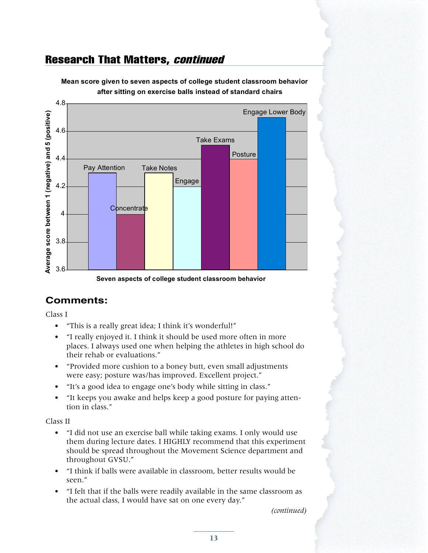

**Mean score given to seven aspects of college student classroom behavior after sitting on exercise balls instead of standard chairs**

**Seven aspects of college student classroom behavior**

## **Comments:**

Class I

- • "This is a really great idea; I think it's wonderful!"
- "I really enjoyed it. I think it should be used more often in more places. I always used one when helping the athletes in high school do their rehab or evaluations."
- "Provided more cushion to a boney butt, even small adjustments were easy; posture was/has improved. Excellent project."
- "It's a good idea to engage one's body while sitting in class."
- "It keeps you awake and helps keep a good posture for paying attention in class."

#### Class II

- • "I did not use an exercise ball while taking exams. I only would use them during lecture dates. I HIGHLY recommend that this experiment should be spread throughout the Movement Science department and throughout GVSU."
- • "I think if balls were available in classroom, better results would be seen."
- • "I felt that if the balls were readily available in the same classroom as the actual class, I would have sat on one every day."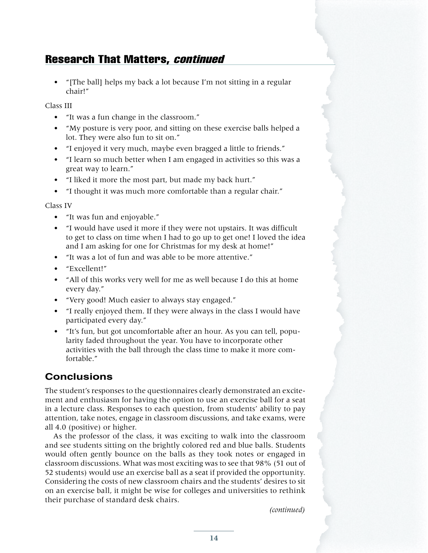• "[The ball] helps my back a lot because I'm not sitting in a regular chair!"

Class III

- • "It was a fun change in the classroom."
- "My posture is very poor, and sitting on these exercise balls helped a lot. They were also fun to sit on."
- "I enjoyed it very much, maybe even bragged a little to friends."
- "I learn so much better when I am engaged in activities so this was a great way to learn."
- • "I liked it more the most part, but made my back hurt."
- "I thought it was much more comfortable than a regular chair."

Class IV

- "It was fun and enjoyable."
- • "I would have used it more if they were not upstairs. It was difficult to get to class on time when I had to go up to get one! I loved the idea and I am asking for one for Christmas for my desk at home!"
- • "It was a lot of fun and was able to be more attentive."
- • "Excellent!"
- "All of this works very well for me as well because I do this at home every day."
- "Very good! Much easier to always stay engaged."
- • "I really enjoyed them. If they were always in the class I would have participated every day."
- "It's fun, but got uncomfortable after an hour. As you can tell, popularity faded throughout the year. You have to incorporate other activities with the ball through the class time to make it more comfortable."

## **Conclusions**

The student's responses to the questionnaires clearly demonstrated an excitement and enthusiasm for having the option to use an exercise ball for a seat in a lecture class. Responses to each question, from students' ability to pay attention, take notes, engage in classroom discussions, and take exams, were all 4.0 (positive) or higher.

As the professor of the class, it was exciting to walk into the classroom and see students sitting on the brightly colored red and blue balls. Students would often gently bounce on the balls as they took notes or engaged in classroom discussions. What was most exciting was to see that 98% (51 out of 52 students) would use an exercise ball as a seat if provided the opportunity. Considering the costs of new classroom chairs and the students' desires to sit on an exercise ball, it might be wise for colleges and universities to rethink their purchase of standard desk chairs.